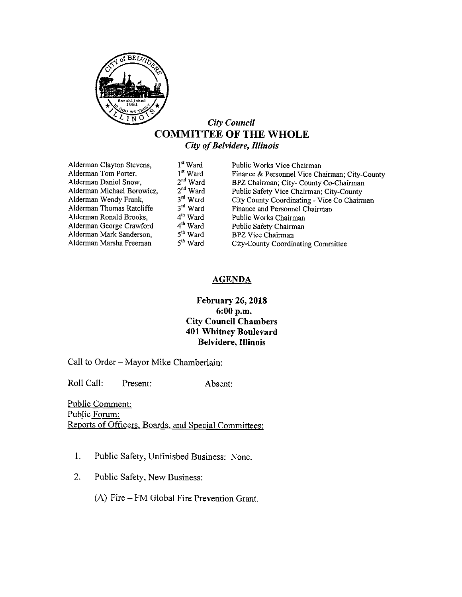

# City Council COMMITTEE OF THE WHOLE City of Belvidere, Illinois

| Alderman Clayton Stevens,  | 1 <sup>st</sup> Ward |                                                |
|----------------------------|----------------------|------------------------------------------------|
|                            |                      | Public Works Vice Chairman                     |
| Alderman Tom Porter,       | $1st$ Ward           | Finance & Personnel Vice Chairman; City-County |
| Alderman Daniel Snow,      | $2nd$ Ward           | BPZ Chairman; City- County Co-Chairman         |
| Alderman Michael Borowicz, | $2nd$ Ward           | Public Safety Vice Chairman; City-County       |
| Alderman Wendy Frank,      | 3rd Ward             | City County Coordinating - Vice Co Chairman    |
| Alderman Thomas Ratcliffe  | $3rd$ Ward           | Finance and Personnel Chairman                 |
| Alderman Ronald Brooks,    | $4th$ Ward           | Public Works Chairman                          |
| Alderman George Crawford   | $4th$ Ward           | Public Safety Chairman                         |
| Alderman Mark Sanderson,   | 5 <sup>th</sup> Ward | <b>BPZ Vice Chairman</b>                       |
| Alderman Marsha Freeman    | 5 <sup>th</sup> Ward | City-County Coordinating Committee             |
|                            |                      |                                                |

# **AGENDA**

# February 26, 2018 6: 00 p.m. City Council Chambers 401 Whitney Boulevard Belvidere, Illinois

Call to Order— Mayor Mike Chamberlain:

Roll Call: Present: Absent:

Public Comment: Public Forum: Reports of Officers, Boards, and Special Committees:

- 1. Public Safety, Unfinished Business: None.
- 2. Public Safety, New Business:

A) Fire— FM Global Fire Prevention Grant.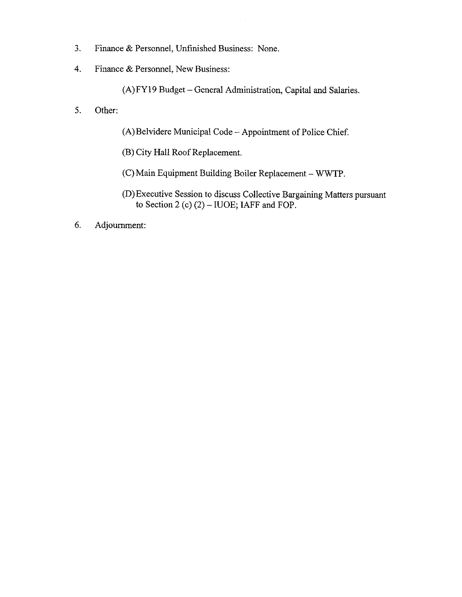- 3. Finance & Personnel, Unfinished Business: None.
- 4. Finance & Personnel, New Business:

A) FY19 Budget— General Administration, Capital and Salaries.

- 5. Other:
- A) Belvidere Municipal Code— Appointment of Police Chief.
- B) City Hall Roof Replacement.
- C) Main Equipment Building Boiler Replacement— WWTP.
- D) Executive Session to discuss Collective Bargaining Matters pursuant to Section 2 (c)  $(2)$  – IUOE; IAFF and FOP.
- 6. Adjournment: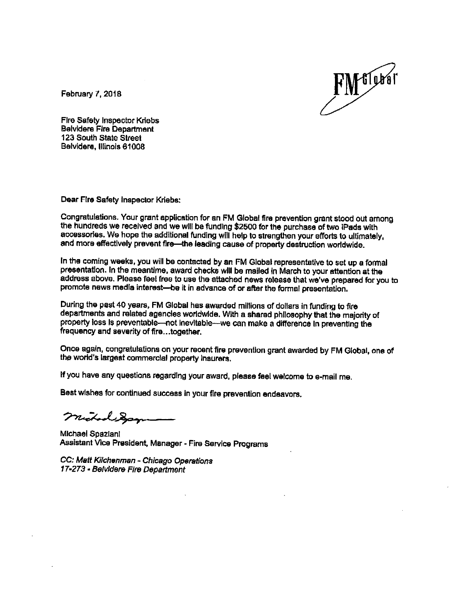

February 7, 2018

Fire Safety Inspector Kriabs Belvidere Fire Department 123 South State Street Belvidere, Illinois 81008

Dear Fire Safety Inspector Kriebs;

Congratulations. Your grant application for an FM Global fire prevention grant stood out among the hundreds we received and we will be funding \$2500 for the purchase of two iPads with accessories. We hope the additional funding will help to strengthen your efforts to ultimately, and more effectively prevent fire—the leading cause of property destruction worldwide.

In the coming weeks, you will be contacted by an FM Global representative to set up a formal presentation. In the meantime, award checks will be mailed in March to your attention at the address above. Please feel free to use the attached news release that we' ve prepared for you to promote news media interest—be it in advance of or after the formal presentation.

During the past 40 years, FM Global has awarded millions of dollars in funding to fire departments and related agencies worldwide. With a shared philosophy that the majority of property loss is preventable-not inevitable--we can make a difference in preventing the frequency and severity of fire... together.

Once again, congratulations on your recent fire prevention grant awarded by FM Global, one of the world's largest commercial property insurers.

If you have any questions regarding your award, please feel welcome to e- mail me.

Best wishes for continued success In your fire prevention endeavors.

nichod San

Michael Spazianl Assistant Vice President, Manager- Fire Service Programs

CC: Matt Kilchenman- Chicago Operations 17. 273• Belvidere Fire Department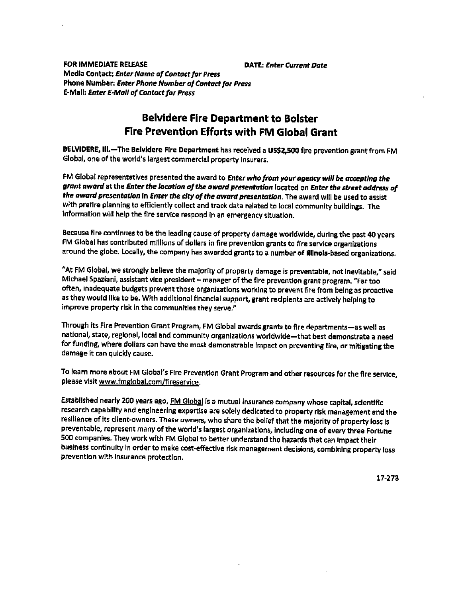FOR IMMEDIATE RELEASE **Example 20 OBSESS** DATE: Enter Current Date Media Contact: Enter Name of Contacr for Press Phone Number: Enter Phone Number of Contact for Press E- Mall: Enter E-Mail of Contact for Press

# Belvidere Fire Department to Bolster Fire Prevention Efforts with FM Global Grant

BELVIDERE, III.— The Belvidere Fire Department has received <sup>a</sup> US\$ Z, 500 fire prevention grant from FM Global, one of the world's largest commercial property insurers.

FM Global representatives presented the award to Enter who from your agency will be accepting the grant award at the Enter the location of the award presentation located on Enter the street address of the award presentation in Enter the city of the award presentation. The award will be used to assist with preflre planning to efficiently collect and track data related to local community buildings. The information will help the fire service respond in an emergency situation.

Because fire continues to be the leading cause of property damage worldwide, during the past 40 years FM Global has contributed millions of dollars in fire prevention grants to fire service organizations around the globe. Locally, the company has awarded grants to a number of Illinois-based organizations.

At FM Global, we strongly believe the majority of property damage is preventable, not inevitable," said Michael Spaziani, assistant vice president— manager of the fire prevention grant program, " Far too often, inadequate budgets prevent those organizations working to prevent fire from being as proactive as they would like to be. With additional financial support, grant recipients are actively helping to improve property risk in the communities they serve."

Through its Fire Prevention Grant Program, FM Global awards grants to fire departments— as well as national, state, regional, local and community organizations worldwide— that best demonstrate a need for funding, where dollars can have the most demonstrable Impact on preventing fire, or mitigating the damage it can quickly cause.

To learn more about FM Global's Fire Prevention Grant Program and other resources for the fire service, please visit www.fmglobal.com/fireservice.

Established nearly 200 years ago, FM Global is a mutual insurance company whose capital, scientific research capability and engineering expertise are solely dedicated to property risk management and the resilience of its client-owners. These owners, who share the belief that the majority of property loss is preventable, represent many of the world's largest organizations, including one of every three Fortune 500 companies. They work with FM Global to better understand the hazards that can Impact their business continuity in order to make cost-effective risk management decisions, combining property loss prevention with insurance protection.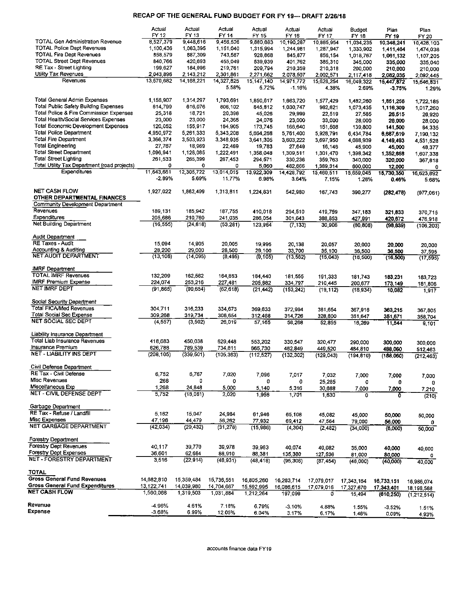### RECAP OF THE GENERAL FUND BUDGET FOR FY 19--- DRAFT 2/26/18

|                                                                              | Actual               | Actual               | Actual               | Actual                 | Actual               | Actual                 | Budget               | Plan                 | Plan                  |
|------------------------------------------------------------------------------|----------------------|----------------------|----------------------|------------------------|----------------------|------------------------|----------------------|----------------------|-----------------------|
|                                                                              | FY 12                | FY 13                | FY 14                | FY 15                  | FY 16                | FY 17                  | FY 18                | FY 19                | FY 20                 |
| <b>TOTAL Gen Administration Revenue</b>                                      | 8,527,379            | 9,448,616            | 9,456,526            | 9,880,883              | 10,190,287           | 10.885,954             | 11.034,235           | 10,348,241           | 10,428,103            |
| <b>TOTAL Police Dept Revenues</b>                                            | 1,100,436            | 1,083,395            | 1,151,040            | 1,315,994              | 1,244,981            | 1.287,947              | 1,333,902            | 1,411,464            | 1,474,038             |
| <b>TOTAL Fire Dept Revenues</b><br><b>TOTAL Street Dept Revenues</b>         | 858,579<br>840.766   | 837,309<br>420,693   | 743,587              | 928,868                | 845,877              | 856,154                | 1,018,767            | 1,061,132            | 1,107,205             |
| RE Tax - Street Lighting                                                     | 199,627              | 184,996              | 455,049<br>219,761   | 539,939<br>209,794     | 401,762<br>210,359   | 385,310<br>210,318     | 345.000<br>200,000   | 335,000<br>210,000   | 335,040               |
| Utility Tax Revenues                                                         | 2.043.896            | 2,143,212            | 2.301.861            | 2,271,662              | 2 078.507            | 2,002,571              | 2.117,418            | 2,082,035            | 210,000<br>2,092,445  |
| Revenues                                                                     | 13,570 682           | 14,168,221           | 14,327,825           | 15,147,140             | 14 971,772           | 15,628,254             | 16,049,322           | 15,447,872           | 15,646,831            |
|                                                                              |                      |                      | 5.58%                | 5.72%                  | $-1.16%$             | 4.38%                  | 2.69%                | $-3.75%$             | 1.29%                 |
|                                                                              |                      |                      |                      |                        |                      |                        |                      |                      |                       |
| Total General Admin Expenses                                                 | 1,156,907            | 1,314,297            | 1,793,691            | 1,850,617              | 1 663,720            | 1 577,429              | 1,482,260            | 1,851,256            | 1,722,185             |
| <b>Total Public Safety Building Expenses</b>                                 | 614 799              | 616,076              | 806,102              | 845,812                | 1.030.747            | 982.621                | 1,073,435            | 1,116,309            | 1,017,260             |
| Total Police & Fire Commission Expenses                                      | 25 318               | 18,721               | 20,396               | 45,026                 | 29,999               | 22,519                 | 27,585               | 26 515               | 26.920                |
| Total Health/Social Services Expenses<br>Total Economic Development Expenses | 23,000               | 23,000               | 24,365               | 24,076                 | 23,000               | 33,000                 | 28,000               | 28.000               | 28 000                |
| <b>Total Police Department</b>                                               | 120,052<br>4,950,972 | 155,917<br>5,261,333 | 164,905<br>5,343,208 | 173,745                | 166,640<br>5761,400  | 151,508                | 139,800              | 141,500              | 84 335                |
| <b>Total Fire Department</b>                                                 | 3,366,374            | 3,503,923            | 3,348,935            | 5,664,268<br>3,641,305 | 3,603,222            | 5,928,791<br>3.697,950 | 6,434,784            | 6,687,619            | 7,190 132             |
| <b>Total Engineering</b>                                                     | 27,767               | 18,969               | 22,469               | 19,783                 | 27,649               | 16,146                 | 4,088,939<br>45,900  | 4,149,493<br>45,000  | 4,531,528             |
| <b>Total Street Department</b>                                               | 1,096,941            | 1,128,085            | 1,222,491            | 1,358,048              | 1 309,511            | 1 301,470              | 1,398,342            | 1,352,658            | 48 377<br>1,607 338   |
| <b>Total Street Lighting</b>                                                 | 261,533              | 265,399              | 267,453              | 294,571                | 330,236              | 359,763                | 340,000              | 320,000              | 367,818               |
| Total Utility Tax Department (road projects)                                 | O                    | $\mathbf 0$          | 0                    | 5,060                  | 482,666              | 1,389,314              | 600,000              | 12,000               | 0                     |
| Expenditures                                                                 | 11,643,661           | 12,305,722           | 13,014,015           | 13.922,309             | 14,428,792           | 15,460,511             | 15,659,045           | 15,730,350           | 16,623,892            |
|                                                                              | $-2.89%$             | 5.69%                | 11.77%               | 6.98%                  | 3.64%                | 7.15%                  | 1.28%                | 0.46%                | 568%                  |
|                                                                              |                      |                      |                      |                        |                      |                        |                      |                      |                       |
| <b>NET CASH FLOW</b>                                                         | 1,927,022            | 1,862,499            | 1,313,811            | 1,224,831              | 542,980              | 167,743                | 390,277              | (282.478)            | (977,061)             |
| OTHER DEPARTMENTAL FINANCES<br>Community Development Department              |                      |                      |                      |                        |                      |                        |                      |                      |                       |
| Revenues                                                                     | 189,131              | 185,942              | 187,755              | 410,018                |                      |                        |                      |                      |                       |
| Expenditures                                                                 | 205,686              | 210,760              | 241.035              | 286,054                | 294,510<br>301,643   | 419,759<br>388,853     | 347,183              | 321,833              | 370,715               |
| <b>Net Building Department</b>                                               | (16, 555)            | (24, 818)            | (53, 281)            | 123,964                | (7, 133)             | 30,906                 | 427,991<br>(80, 808) | 420.672<br>(98, 839) | 476,918<br>(106, 203) |
|                                                                              |                      |                      |                      |                        |                      |                        |                      |                      |                       |
| <b>Audit Department</b>                                                      |                      |                      |                      |                        |                      |                        |                      |                      |                       |
| <b>RE Taxes - Audit</b>                                                      | 15,094               | 14,905               | 20,005               | 19,995                 | 20,138               | 20,057                 | 20,000               | 20,000               | 20,000                |
| Accounting & Auditing                                                        | 28,200               | 29,000               | 28,500               | 29,100                 | 33,700               | 35,100                 | 36,500               | 36 500               | 37.595                |
| NET AUDIT DEPARTMENT                                                         | (13, 106)            | (14, 095)            | (8, 495)             | (9, 105)               | (13, 562)            | (15,043)               | (16, 500)            | (16, 500)            | (17, 595)             |
| <b>IMRF</b> Department                                                       |                      |                      |                      |                        |                      |                        |                      |                      |                       |
| <b>TOTAL IMRF Revenues</b>                                                   | 132,209              | 162,562              | 164,863              | 184,440                | 181,555              | 191,333                | 181 743              | 183 231              | 183723                |
| <b>IMRF Premium Expense</b>                                                  | 224,074              | 253,216              | 227,481              | 205,882                | 334,797              | 210,445                | 200,677              | 173 149              | 181,806               |
| NET IMRF DEPT                                                                | (91, 865)            | (90, 654)            | (62, 618)            | (21, 442)              | (153, 242)           | (19, 112)              | (18934)              | 10,082               | 1,917                 |
|                                                                              |                      |                      |                      |                        |                      |                        |                      |                      |                       |
| Social Security Department<br><b>Total FICA/Med Revenues</b>                 |                      |                      |                      |                        |                      |                        |                      |                      |                       |
| <b>Total Social Sec Expense</b>                                              | 304,711              | 316,233              | 334,673              | 369,633                | 372,994              | 381,654                | 367,916              | 363,215              | 367,805               |
| NET SOCIAL SEC DEPT                                                          | 309,268<br>(4, 557)  | 319,734              | 308,654              | 312,468                | 314,726              | 328,800                | 351 647              | 351,671              | 358,704               |
|                                                                              |                      | (3, 502)             | 26,019               | 57,165                 | 58,268               | 52.855                 | 16.269               | 11,544               | 9,101                 |
| Liability insurance Department                                               |                      |                      |                      |                        |                      |                        |                      |                      |                       |
| <b>Total Liab Insurance Revenues</b>                                         | 418,683              | 450,038              | 629,448              | 553,202                | 330,547              | 320.477                | 290,000              | 300,000              | 300,000               |
| Insurance Premium                                                            | 626,788              | 789,539              | 734,811              | 665,730                | 462.849              | 449.520                | 484,810              | 488.060              | 512,463               |
| <b>NET - LIABILITY INS DEPT</b>                                              | (208, 105)           | (339, 501)           | (105, 363)           | (112, 527)             | (132, 302)           | (129.043)              | (194, 810)           | (188,060)            | (212, 463)            |
|                                                                              |                      |                      |                      |                        |                      |                        |                      |                      |                       |
| Civil Defense Department<br>RE Tax - Civil Defense                           |                      |                      |                      |                        |                      |                        |                      |                      |                       |
| Misc Revenues                                                                | 6,752<br>268         | 6,767<br>0           | 7,020<br>0           | 7,096                  | 7,017                | 7.032                  | 7,000                | 7,000                | 7,000                 |
| Miscellaneous Exp                                                            | 1,268                | 24,848               | 5,000                | 0<br>5,140             | 0<br>5,316           | 25.285                 | 0                    | 0                    | 0                     |
| <b>NET - CIVIL DEFENSE DEPT</b>                                              | 5,752                | (18,081)             | 2,020                | 1,956                  | 1,701                | 30,688<br>1,630        | 7,000<br>0           | 7,000<br>Ō           | 7,210                 |
|                                                                              |                      |                      |                      |                        |                      |                        |                      |                      | (210)                 |
| Garbage Department                                                           |                      |                      |                      |                        |                      |                        |                      |                      |                       |
| RE Tax - Refuse / Landfill                                                   | 5,162                | 15,047               | 24,984               | 61,946                 | 65,108               | 45,082                 | 45,000               | 50,000               | 50,000                |
| Misc Expenses                                                                | 47,196               | 44,479               | 56,262               | 77,932                 | 69,412               | 47,564                 | 79,000               | 56,000               | 0                     |
| NET GARBAGE DEPARTMENT                                                       | (42,034)             | (29, 432)            | (31, 278)            | (15, 986)              | (4, 304)             | (2, 482)               | (34,000)             | (6,000)              | 50,000                |
|                                                                              |                      |                      |                      |                        |                      |                        |                      |                      |                       |
| Forestry Department<br>Forestry Dept Revenues                                | 40.117               | 39,770               |                      |                        |                      |                        |                      |                      |                       |
| Forestry Dept Expenses                                                       | 36,601               | 62,684               | 39,978<br>88,910     | 39,963                 | 40.074               | 40,082                 | 35,000               | 40,000               | 40,000                |
| NET - FORESTRY DEPARTMENT                                                    | 3,516                | (22, 914)            | (48, 931)            | 88 381<br>(48, 418)    | 135,380<br>(95, 306) | 127,536                | 81,000               | 80,000               | 0                     |
|                                                                              |                      |                      |                      |                        |                      | (87, 454)              | (46,000)             | (40,000)             | 40,000                |
| <b>TOTAL</b>                                                                 |                      |                      |                      |                        |                      |                        |                      |                      |                       |
| <b>Gross General Fund Revenues</b>                                           | 14,682 810           | 15,359,484           | 15,736,551           | 16,805,260             | 16,283,714           | 17,079,017             | 17,343,164           | 16,733,151           | 16,986,074            |
| Gross General Fund Expenditures                                              | 13,122,741           | 14,039,980           | 14,704,667           | 15,592 995             | 16,086,615           | 17,079,016             | 17 327,670           | 17,343,401           | 18,198,588            |
| <b>NET CASH FLOW</b>                                                         | 1,560,068            | 1,319,503            | 1,031.884            | 1,212,264              | 197,099              | 0                      | 15,494               | (610, 250)           | (1, 212, 514)         |
| Revenue                                                                      |                      |                      |                      |                        |                      |                        |                      |                      |                       |
| <b>Expense</b>                                                               | -496%<br>$-3.68%$    | 4.61%<br>6.99%       | 7 18%                | 679%                   | -3.10%               | 4.88%                  | 1.55%                | -3.52%               | 1.51%                 |
|                                                                              |                      |                      | 12.05%               | 6.04%                  | 3.17%                | 6.17%                  | 1.46%                | 0.09%                | 4.93%                 |

accounts finance data FYI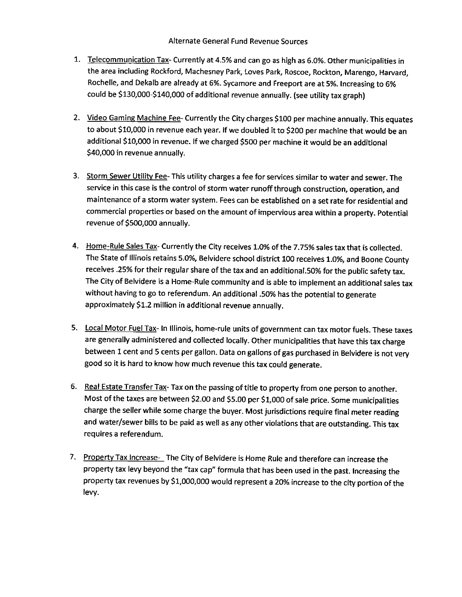## Alternate General Fund Revenue Sources

- 1. Telecommunication Tax- Currently at 4.5% and can go as high as 6.0%. Other municipalities in the area including Rockford, Machesney Park, Loves Park, Roscoe, Rockton, Marengo, Harvard, Rochelle, and Dekalb are already at 6%. Sycamore and Freeport are at 5%. Increasing to 6% could be \$130,000-\$140,000 of additional revenue annually. (see utility tax graph)
- 2. Video Gaming Machine Fee- Currently the City charges \$100 per machine annually. This equates to about \$10,000 in revenue each year. If we doubled it to \$200 per machine that would be an additional \$10,000 in revenue. If we charged \$500 per machine it would be an additional 40,000 in revenue annually.
- 3. Storm Sewer Utility Fee- This utility charges a fee for services similar to water and sewer. The service in this case is the control of storm water runoff through construction, operation, and maintenance of <sup>a</sup> storm water system. Fees can be established on <sup>a</sup> set rate for residential and commercial properties or based on the amount of impervious area within <sup>a</sup> property. Potential revenue of \$500,000 annually.
- 4. Home-Rule Sales Tax- Currently the City receives 1.0% of the 7.75% sales tax that is collected. The State of Illinois retains 5.0%, Belvidere school district 100 receives 1.0%, and Boone County receives . 25% for their regular share of the tax and an additional. 50% for the public safety tax. The City of Belvidere is a Home-Rule community and is able to implement an additional sales tax without having to go to referendum. An additional . 50% has the potential to generate approximately \$1.2 million in additional revenue annually.
- 5. Local Motor Fuel Tax- In Illinois, home-rule units of government can tax motor fuels. These taxes are generally administered and collected locally. Other municipalities that have this tax charge between <sup>1</sup> cent and 5 cents per gallon. Data on gallons of gas purchased in Belvidere is not very good so it is hard to know how much revenue this tax could generate.
- 6. Real Estate Transfer Tax- Tax on the passing of title to property from one person to another. Most of the taxes are between \$2.00 and \$5.00 per \$1,000 of sale price. Some municipalities charge the seller while some charge the buyer. Most jurisdictions require final meter reading and water/sewer bills to be paid as well as any other violations that are outstanding. This tax requires a referendum.
- 7. Property Tax Increase- The City of Belvidere is Home Rule and therefore can increase the property tax levy beyond the "tax cap" formula that has been used in the past. Increasing the property tax revenues by \$1,000,000 would represent a 20% increase to the city portion of the levy.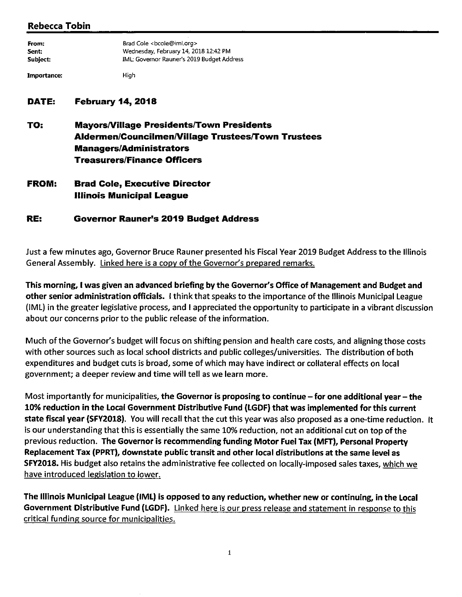# Rebecca Tobin

| From:       | Brad Cole <bcole@iml.org></bcole@iml.org>  |  |  |  |  |
|-------------|--------------------------------------------|--|--|--|--|
| Sent:       | Wednesday, February 14, 2018 12:42 PM      |  |  |  |  |
| Subject:    | IML: Governor Rauner's 2019 Budget Address |  |  |  |  |
| Importance: | High                                       |  |  |  |  |

# DATE: February 14, 2018

TO: Mayors/Village Presidents/Town Presidents Aldermen/Councilmen/Village Trustees/Town Trustees **Managers/Administrators Treasurers/Finance Officers** 

FROM: Brad Cole, Executive Director Illinois Municipal League

# RE: Governor Rauner's 2019 Budget Address

Just <sup>a</sup> few minutes ago, Governor Bruce Rauner presented his Fiscal Year 2019 Budget Address to the Illinois General Assembly. Linked here is a copy of the Governor's prepared remarks.

This morning, I was given an advanced briefing by the Governor's Office of Management and Budget and other senior administration officials. I think that speaks to the importance of the Illinois Municipal League IML) in the greater legislative process, and <sup>I</sup> appreciated the opportunity to participate in <sup>a</sup> vibrant discussion about our concerns prior to the public release of the information.

Much of the Governor's budget will focus on shifting pension and health care costs, and aligning those costs with other sources such as local school districts and public colleges/ universities. The distribution of both expenditures and budget cuts is broad, some of which may have indirect or collateral effects on local government; a deeper review and time will tell as we learn more.

Most importantly for municipalities, the Governor is proposing to continue – for one additional year – the 10% reduction in the Local Government Distributive Fund ( LGDF) that was implemented for this current state fiscal year (SFY2018). You will recall that the cut this year was also proposed as a one-time reduction. It is our understanding that this is essentially the same 10% reduction, not an additional cut on top of the previous reduction. The Governor is recommending funding Motor Fuel Tax( MFT), Personal Property Replacement Tax( PPRT), downstate public transit and other local distributions at the same level as SFY2018. His budget also retains the administrative fee collected on locally- imposed sales taxes, which we have introduced legislation to lower.

The Illinois Municipal League( IML) is opposed to any reduction, whether new or continuing, in the Local Government Distributive Fund (LGDF). Linked here is our press release and statement in response to this critical funding source for municipalities.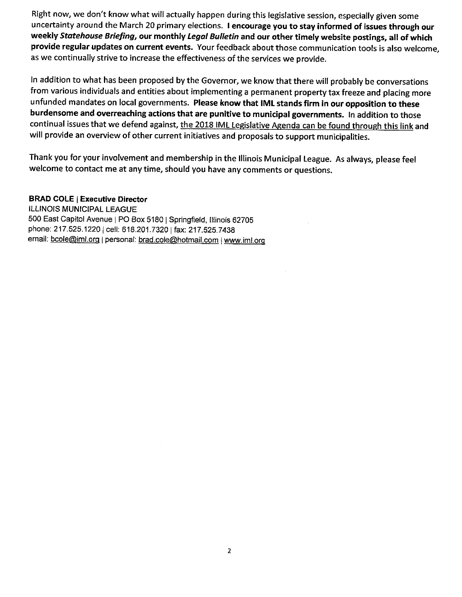Right now, we don't know what will actually happen during this legislative session, especially given some uncertainty around the March 20 primary elections. I encourage you to stay informed of issues through our weekly Statehouse Briefing, our monthly Legal Bulletin and our other timely website postings, all of which provide regular updates on current events. Your feedback about those communication tools is also welcome, as we continually strive to increase the effectiveness of the services we provide.

In addition to what has been proposed by the Governor, we know that there will probably be conversations from various individuals and entities about implementing <sup>a</sup> permanent property tax freeze and placing more unfunded mandates on local governments. Please know that IML stands firm in our opposition to these burdensome and overreaching actions that are punitive to municipal governments. In addition to those continual issues that we defend against, the 2018 IML Legislative Agenda can be found through this link and will provide an overview of other current initiatives and proposals to support municipalities.

Thank you for your involvement and membership in the Illinois Municipal League. As always, please feel welcome to contact me at any time, should you have any comments or questions.

# BRAD COLE | Executive Director

ILLINOIS MUNICIPAL LEAGUE 500 East Capitol Avenue | PO Box 5180 | Springfield, Illinois 62705 phone: 217.525.1220 | cell: 618.201.7320 | fax: 217.525.7438 email: bcole@iml.org | personal: brad.cole@hotmail.com | www.iml.org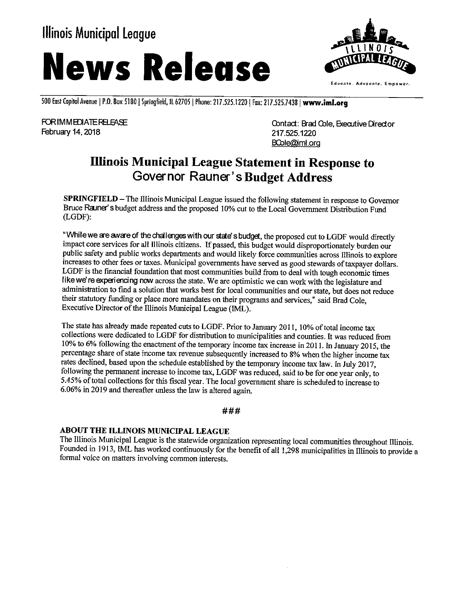# Illinois Municipal League





500 East Capitol Avenue | P.O. Box 5130 | Springfield, IL 62705 | Phone: 217.525.1220 | Fax: 217.525.7438 | www.iml.org

February 14, 2018 217.525. 2018

FOR IMMEDIATE RELEASE **FOR IMMEDIATE RELEASE** CONTACT: Brad Cole, Executive Director BCole@iml.org

# Illinois Municipal League Statement in Response to Governor Rauner' s Budget Address

SPRINGFIELD— The Illinois Municipal League issued the following statement in response to Governor Bruce Rauner' s budget address and the proposed 10% cut to the Local Government Distribution Fund LGDF):

"While we are aware of the challenges with our state's budget, the proposed cut to LGDF would directly impact core services for all Illinois citizens. If passed, this budget would disproportionately burden our public safety and public works departments and would likely force communities across Illinois to explore increases to other fees or taxes. Municipal governments have served as good stewards of taxpayer dollars. LGDF is the financial foundation that most communities build from to deal with tough economic times like we're experiencing now across the state. We are optimistic we can work with the legislature and administration to find a solution that works best for local communities and our state, but does not reduce their statutory funding or place more mandates on their programs and services," said Brad Cole, Executive Director of the Illinois Municipal League (IML).

The state has already made repeated cuts to LGDF. Prior to January 2011, 10% of total income tax collections were dedicated to LGDF for distribution to municipalities and counties. It was reduced from 10% to 6% following the enactment of the temporary income tax increase in 2011. In January 2015, the percentage share of state income tax revenue subsequently increased to 8% when the higher income tax rates declined, based upon the schedule established by the temporary income tax law. In July 2017, following the permanent increase to income tax, LGDF was reduced, said to be for one year only, to 5.45% of total collections for this fiscal year. The local government share is scheduled to increase to 6. 06% in 2019 and thereafter unless the law is altered again.

###

# ABOUT THE ILLINOIS MUNICIPAL LEAGUE

The Illinois Municipal League is the statewide organization representing local communities throughout Illinois. Founded in 1913, IML has worked continuously for the benefit of all 1,298 municipalities in Illinois to provide a formal voice on matters involving common interests.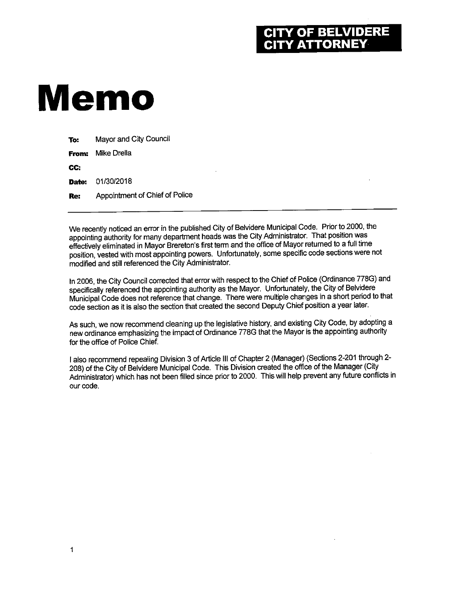# Y OF BELVIDERE<br>Y ATTORNEY

# Memo

| To:        | Mayor and City Council         |
|------------|--------------------------------|
| From:      | Mike Drella                    |
| CC.        |                                |
|            | <b>Date: 01/30/2018</b>        |
| <b>Re:</b> | Appointment of Chief of Police |
|            |                                |

We recently noticed an error in the published City of Belvidere Municipal Code. Prior to 2000, the appointing authority for many department heads was the City Administrator. That position was effectively eliminated in Mayor Brereton's first term and the office of Mayor returned to a full time position, vested with most appointing powers. Unfortunately, some specific code sections were not modified and still referenced the City Administrator.

In 2006, the City Council corrected that error with respect to the Chief of Police (Ordinance 778G) and specifically referenced the appointing authority as the Mayor. Unfortunately, the City of Belvidere Municipal Code does not reference that change. There were multiple changes in a short period to that code section as it is also the section that created the second Deputy Chief position a year later.

As such, we now recommend cleaning up the legislative history, and existing City Code, by adopting a new ordinance emphasizing the impact of Ordinance 778G that the Mayor is the appointing authority for the office of Police Chief.

I also recommend repealing Division 3 of Article III of Chapter 2 (Manager) (Sections 2-201 through 2-208) of the City of Belvidere Municipal Code. This Division created the office of the Manager( City Administrator) which has not been filled since prior to 2000. This will help prevent any future conflicts in our code.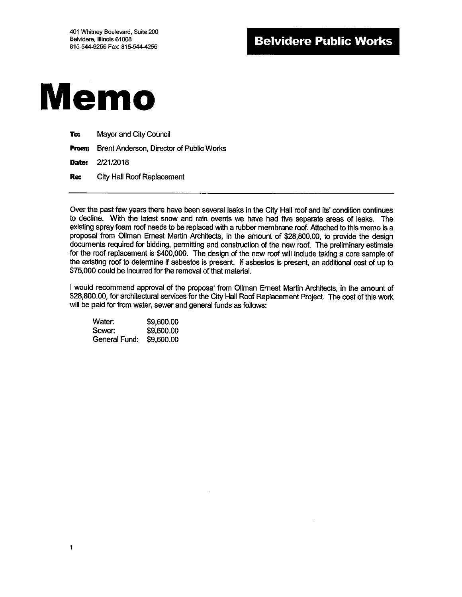

| To: | Mayor and City Council                                |  |  |
|-----|-------------------------------------------------------|--|--|
|     | <b>From:</b> Brent Anderson, Director of Public Works |  |  |
|     | <b>Date:</b> 2/21/2018                                |  |  |
| Re: | <b>City Hall Roof Replacement</b>                     |  |  |

Over the past few years there have been several leaks in the City Hall roof and its' condition continues to decline. With the latest snow and rain events we have had five separate areas of leaks. The existing spray foam roof needs to be replaced with a rubber membrane roof. Attached to this memo is a proposal from Ollman Ernest Martin Architects, in the amount of \$28,800.00, to provide the design documents required for bidding, permitting and construction of the new roof. The preliminary estimate for the roof replacement is \$400,000. The design of the new roof will include taking a core sample of the existing roof to determine if asbestos is present. If asbestos is present, an additional cost of up to 75, 000 could be incurred for the removal of that material.

<sup>I</sup> would recommend approval of the proposal from 011man Ernest Martin Architects, in the amount of 28,800.00, for architectural services for the City Hall Roof Replacement Project. The cost ofthis work will be paid for from water, sewer and general funds as follows:

Water: \$9,600.00 Sewer: \$9,600.00 General Fund: \$9,600.00

1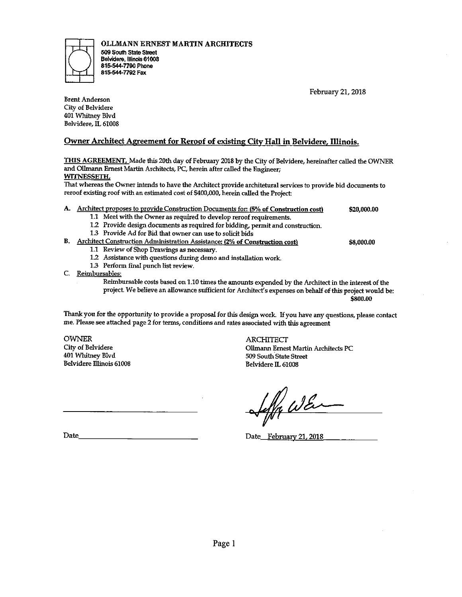OLLMANN ERNEST MARTIN ARCHITECTS



509 South state Street Belvidere, Illinois 61008 815. 544. 7790 Phone 815-544-7792 Fax

February 21, 2018

Brent Anderson City of Belvidere 401 Whitney Blvd Belvidere, IL 61008

# Owner Architect Agreement for Reroof of existing City Hall in Belvidere, Illinois.

THIS AGREEMENT. Made this 20th day of February 2018 by the City of Belvidere, hereinafter called the OWNER and 011mann Ernest Martin Architects, PC, herein after called the Engineer; WITNESSETH.

That whereas the Owner intends to have the Architect provide anchitetural services to provide bid documents to reroof existing roof with an estimated cost of \$400,000, herein called the Project:

- A. Architect proposes to provide Construction Documents for: (5% of Construction cost) \$20,000.00
	- 1.1 Meet with the Owner as required to develop reroof requirements.
	- 1.2 Provide design documents as required for bidding, permit and construction.
	- 1.3 Provide Ad for Bid that owner can use to solicit bids

#### B. Architect Construction Administration Assistance: (2% of Construction cost) \$8,000.00

- 1.1 Review of Shop Drawings as necessary.
- 1.2 Assistance with questions during demo and installation work.
- 1.3 Perform final punch list review.
- C. Reimbursables:
	- Reimbursable costs based on 1.10 times the amounts expended by the Architect in the interest of the project. We believe an allowance sufficient for Architect's expenses on behalf of this project would be:

800.00

Thank you for the opportunity to provide <sup>a</sup> proposal for this design work. If you have any questions, please contact me. Please see attached page 2 for terms, conditions and rates associated with this agreement

OWNER<br>City of Belvidere<br>City of Belvidere Belvidere Illinois 61008

City of Belvidere 011mann Ernest Martin Architects PC 509 South State Street<br>Belvidere IL 61008

Seffa WE

Date Date February 21, 2018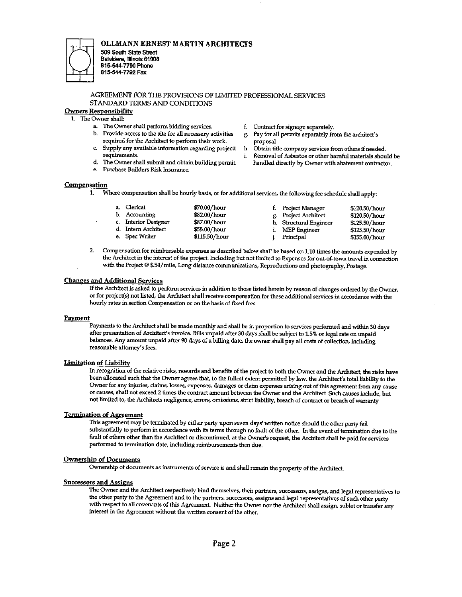

#### OLLMANN ERNEST MARTIN ARCHITECTS

509 South state Sheet Belvidere, Illinois 61008 8155447790 Phone 815. 544- 7792 Fax

#### AGREEMENT FOR THE PROVISIONS OF LIMITED PROFESSIONAL SERVICES STANDARD TERMS AND CONDITIONS

#### Owners Responsibility

- 1. The Owner shall:
	- a. The Owner shall perform bidding services.  $\qquad$  f. Contract for signage separately.<br>
	b. Provide access to the site for all necessary activities  $\qquad$  g. Pay for all permits separately free
	- required for the Architect to perform their work.
	- C. Supply any available information regarding projectt h. Obtain title company services from others ifneeded.
		-
	- e. Purchase Builders Risk Insurance.
- 
- g. Pay for all permits separately from the architect's proposal
- 
- Removal of Asbestos or other hamful materials should be d. The Owner shall submit and obtain building permit. handled directly by Owner with abatement contractor.

#### **Compensation**

1. Where compensation shall be hourly basis, or for additional services, the following fee schedule shall apply:

|  | a. Clerical<br>b. Accounting<br>c. Interior Designer<br>d. Intern Architect<br>e. Spec Writer | \$70.00/hour<br>\$82.00/hour<br>\$87.00/hour<br>\$55.00/hour<br>\$115.50/hour |  | f. Project Manager<br>g. Project Architect<br>h. Structural Engineer<br>i. MEP Engineer<br>Principal | \$120.50/hour<br>\$120.50/hour<br>\$125.50/hour<br>\$125.50/hour<br>\$155.00/hour |
|--|-----------------------------------------------------------------------------------------------|-------------------------------------------------------------------------------|--|------------------------------------------------------------------------------------------------------|-----------------------------------------------------------------------------------|
|--|-----------------------------------------------------------------------------------------------|-------------------------------------------------------------------------------|--|------------------------------------------------------------------------------------------------------|-----------------------------------------------------------------------------------|

2. Compensation for reimbursable expenses as described below shall be based on 1. 10 times the amounts expended by the Architect in the interest of the project. Including but not limited to Expenses for outof- town travel in connection with the Project @ \$.54/ mile, Long distance communications, Reproductions and photography, Postage.

#### Changes and Additional Services

If the Architect is asked to perform services in addition to those listed herein by reason of changes ordered by the Owner, or for project( s) not listed, the Architect shall receive compensation for these additional services in accordance with the hourly rates in section Compensation or on the basis of fixed fees.

#### **Payment**

Payments to the Architect shall be made monthly and shall be in proportion to services performed and within 30 days after presentation of Architect's invoice. Bills unpaid after 30 days shall be subject to 1.5% or legal rate on unpaid balances. Any amount unpaid after 90 days of a billing date, the owner shall pay all costs of collection, including reasonable attorney's fees.

#### Limitation of Liability

In recognition of the relative risks, rewards and benefits of the project to both the Owner and the Architect, the risks have been allocated such that the Owner agrees that, to the fullest extent permitted by law,the Architect's total liability to the Owner for any injuries, claims, losses, expenses, damages or claim expenses arising out of this agreement from any cause or causes, shall not exceed 2 times the contract amount between the Owner and the Architect Such causes include, but not limited to, the Architects negligence, errors, omissions, strict liability, breach of contract or breach of warranty

### Termination of Agreement

This agreement may be terminated by either party upon seven days' written notice should the other party fail substantially to perform in accordance with its terms through no fault of the other. In the event of termination due to the fault of others other than the Architect or discontinued, at the Owner's request, the Architect shall be paid for services performed to termination date, including reimbursements then due.

#### Ownership of Documents

Ownership of documents as instruments of service is and shall remain the property of the Architect.

#### Successors and Assigns

The Owner and the Architect respectively bind themselves, their partners, successors, assigns, and legal representatives to the other party to the Agreement and to the partners, successors, assigns and legal representatives of such other party with respect to all covenants of this Agreement. Neither the Owner nor the Architect shall assign, sublet or transfer any interest in the Agreement without the written consent of the other.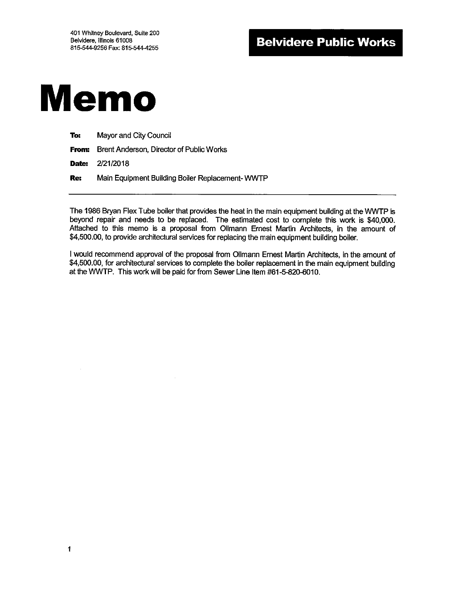# Memo

| To: | Mayor and City Council |
|-----|------------------------|
|-----|------------------------|

From: Brent Anderson, Director of Public Works

Date: 2/21/2018

1

Re: Main Equipment Building Boiler Replacement- WWTP

The 1986 Bryan Flex Tube boiler that provides the heat in the main equipment building at the WWTP is beyond repair and needs to be replaced. The estimated cost to complete this work is \$40,000. Attached to this memo is a proposal from Ollmann Ernest Martin Architects, in the amount of 4,500.00, to provide architectural services for replacing the main equipment building boiler.

I would recommend approval of the proposal from Ollmann Ernest Martin Architects, in the amount of \$4,500.00, for architectural services to complete the boiler replacement in the main equipment building at the WWTP. This work will be paid for from Sewer Line Item #61-5-820-6010.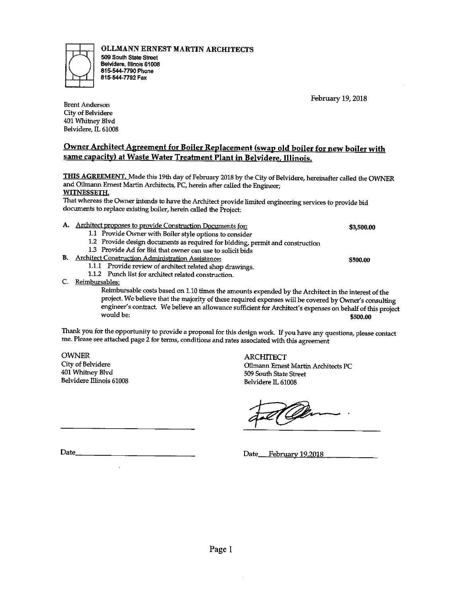Page I

OLLMANN ERNEST MARTIN ARCHITECTS

509 South State Street Belvidere, Illinois 61008 815-544-7790 Phone 815-544-7792 Fax

# Owner Architect Agreement for Boiler Replacement (swap old boiler for new boiler with same capacity) at Waste Water Treatment Plant in Belvidere, Illinois.

THIS AGREEMENT. Made this 19th day of February 2018 by the City of Belvidere, hereinafter called the OWNER and Olhnann Ernest Martin Architects, PC, herein after called the Engineer; WITNESSETH.

That whereas the Owner intends to have the Architect provide limited engineering services to provide bid documents to replace existing boiler, herein called the Project:

- A. Architect proposes to provide Construction Documents for: 3,500.00
	- 1.1 Provide Owner with Boiler style options to consider
	- 1.2 Provide design documents as required for bidding, permit and construction
	- 1.3 Provide Ad for Bid that owner can use to solicit bids
- B. Architect Construction Administration Assistance: 500. <sup>00</sup>
	- 1.1.1 Provide review of architect related shop drawings.
	- 1.1.2 Punch list for architect related construction.
- C. Reimbursables:

Reimbursable costs based on 1. 10 times the amounts expended by the Architect in the interest of the project. We believe that the majority of these required expenses will be covered by Owner's consulting engineer' s contract. We believe an allowance sufficient for Architect' s expenses on behalf of this project would be: 500. <sup>00</sup>

Thank you for the opportunity to provide <sup>a</sup> proposal for this design work. If you have any questions, please contact me. Please see attached page 2 for terms, conditions and rates associated with this agreement

OWNER<br>City of Belvidere<br>City of Belvidere Belvidere Illinois 61008 Belvidere IL 61008

Date <u>Pebruary 19,2018</u>

 $\overline{\phantom{a}}$ 

City of Belvidere 011mann Ernest Martin Architects PC 509 South State Street

February 19, 2018



Brent Anderson City of Belvidere 401 Whitney Blvd Belvidere, IL 61008